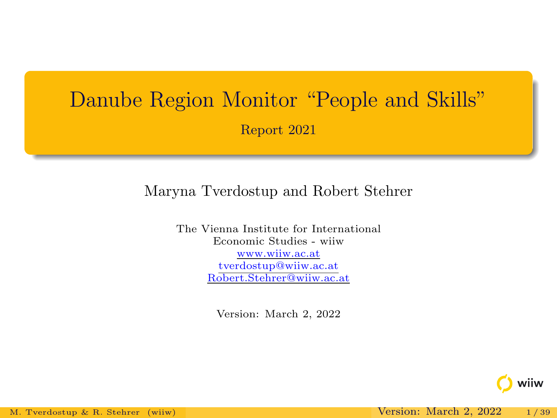# Danube Region Monitor "People and Skills" Report 2021

#### Maryna Tverdostup and Robert Stehrer

The Vienna Institute for International Economic Studies - wiiw www.wiiw.ac.at tverdostup@wiiw.ac.at Robert.Stehrer@wiiw.ac.at

Version: March 2, 2022

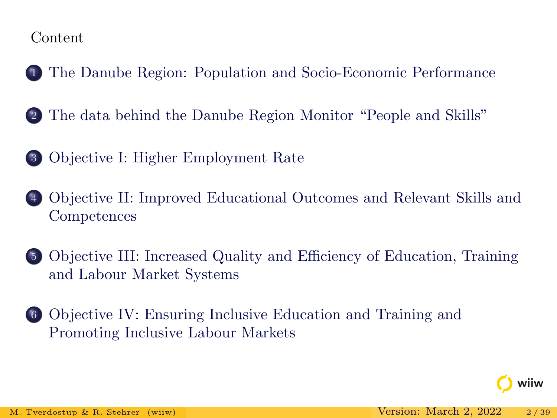#### Content

- <sup>1</sup> [The Danube Region: Population and Socio-Economic Performance](#page-2-0)
- <sup>2</sup> [The data behind the Danube Region Monitor "People and Skills"](#page-6-0)
- <sup>3</sup> [Objective I: Higher Employment Rate](#page-8-0)
- <sup>4</sup> [Objective II: Improved Educational Outcomes and Relevant Skills and](#page-16-0) [Competences](#page-16-0)
- <sup>5</sup> [Objective III: Increased Quality and Efficiency of Education, Training](#page-23-0) [and Labour Market Systems](#page-23-0)
- <sup>6</sup> [Objective IV: Ensuring Inclusive Education and Training and](#page-30-0) [Promoting Inclusive Labour Markets](#page-30-0)

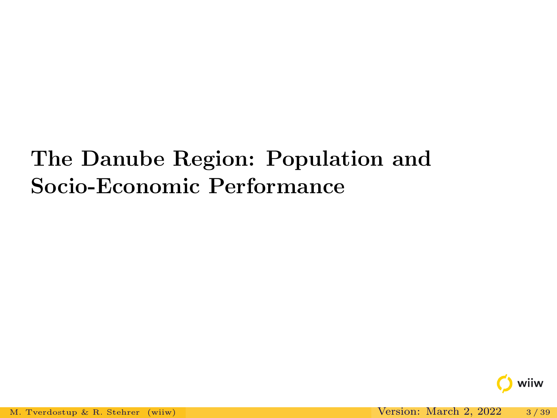# <span id="page-2-0"></span>The Danube Region: Population and Socio-Economic Performance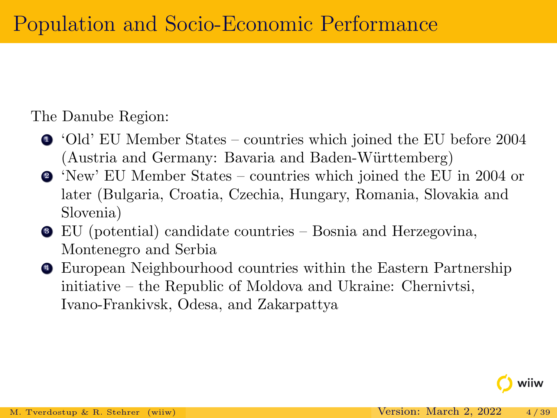The Danube Region:

- <sup>1</sup> 'Old' EU Member States countries which joined the EU before 2004 (Austria and Germany: Bavaria and Baden-Württemberg)
- <sup>2</sup> 'New' EU Member States countries which joined the EU in 2004 or later (Bulgaria, Croatia, Czechia, Hungary, Romania, Slovakia and Slovenia)
- <sup>3</sup> EU (potential) candidate countries Bosnia and Herzegovina, Montenegro and Serbia
- <sup>4</sup> European Neighbourhood countries within the Eastern Partnership initiative – the Republic of Moldova and Ukraine: Chernivtsi, Ivano-Frankivsk, Odesa, and Zakarpattya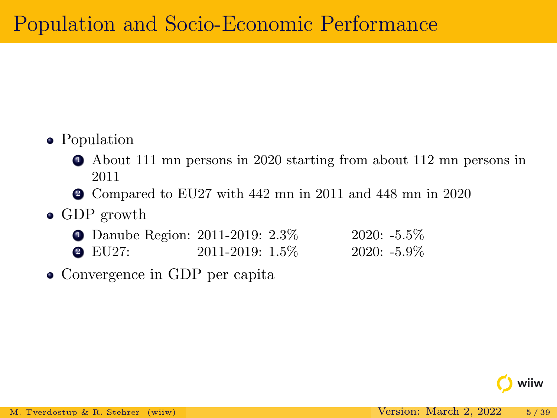### • Population

- <sup>1</sup> About 111 mn persons in 2020 starting from about 112 mn persons in 2011
- <sup>2</sup> Compared to EU27 with 442 mn in 2011 and 448 mn in 2020

#### • GDP growth

- Danube Region: 2011-2019: 2.3% 2020: -5.5% **2** EU27: 2011-2019: 1.5% 2020: -5.9%
- Convergence in GDP per capita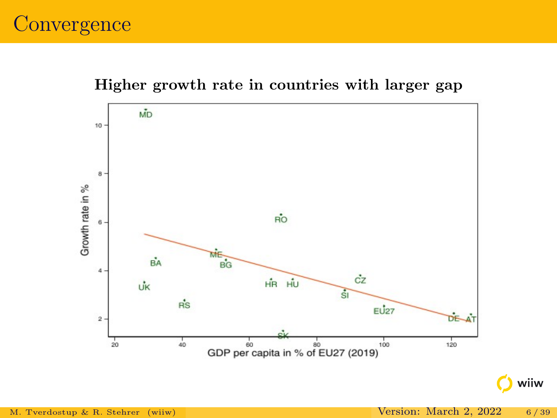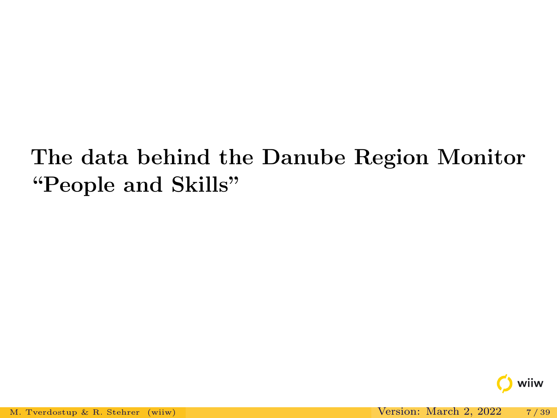# <span id="page-6-0"></span>The data behind the Danube Region Monitor "People and Skills"

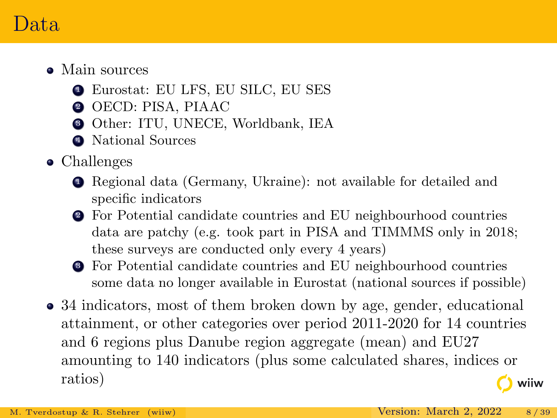### Data

- Main sources
	- <sup>1</sup> Eurostat: EU LFS, EU SILC, EU SES
	- **2** OECD: PISA, PIAAC
	- <sup>3</sup> Other: ITU, UNECE, Worldbank, IEA
	- <sup>4</sup> National Sources
- Challenges
	- <sup>1</sup> Regional data (Germany, Ukraine): not available for detailed and specific indicators
	- <sup>2</sup> For Potential candidate countries and EU neighbourhood countries data are patchy (e.g. took part in PISA and TIMMMS only in 2018; these surveys are conducted only every 4 years)
	- <sup>3</sup> For Potential candidate countries and EU neighbourhood countries some data no longer available in Eurostat (national sources if possible)
- 34 indicators, most of them broken down by age, gender, educational attainment, or other categories over period 2011-2020 for 14 countries and 6 regions plus Danube region aggregate (mean) and EU27 amounting to 140 indicators (plus some calculated shares, indices or ratios) wiiw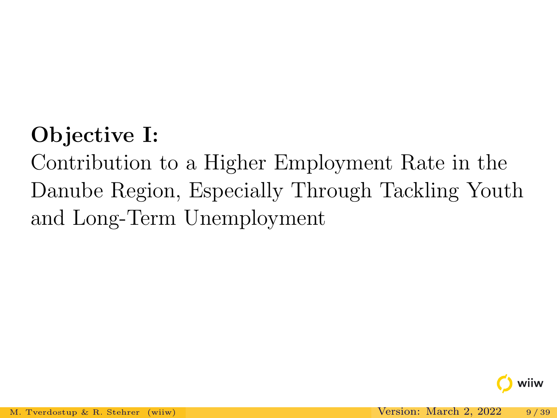# <span id="page-8-0"></span>Objective I:

Contribution to a Higher Employment Rate in the Danube Region, Especially Through Tackling Youth and Long-Term Unemployment

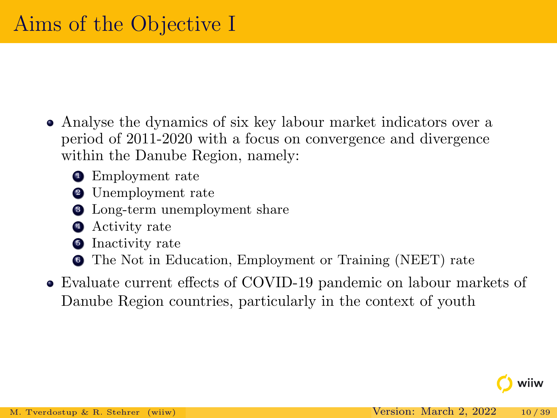- Analyse the dynamics of six key labour market indicators over a period of 2011-2020 with a focus on convergence and divergence within the Danube Region, namely:
	- **•** Employment rate
	- **2** Unemployment rate
	- <sup>3</sup> Long-term unemployment share
	- **4** Activity rate
	- **5** Inactivity rate
	- <sup>6</sup> The Not in Education, Employment or Training (NEET) rate
- Evaluate current effects of COVID-19 pandemic on labour markets of Danube Region countries, particularly in the context of youth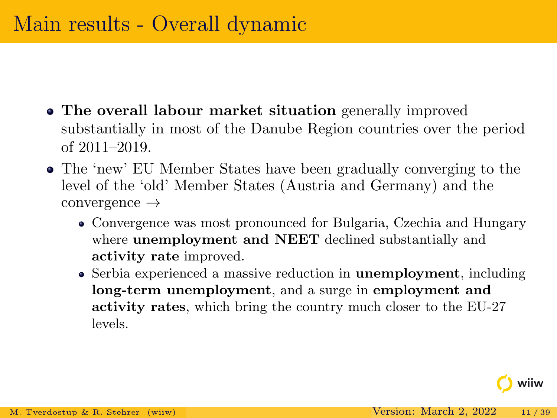- The overall labour market situation generally improved substantially in most of the Danube Region countries over the period of 2011–2019.
- The 'new' EU Member States have been gradually converging to the level of the 'old' Member States (Austria and Germany) and the convergence →
	- Convergence was most pronounced for Bulgaria, Czechia and Hungary where unemployment and NEET declined substantially and activity rate improved.
	- Serbia experienced a massive reduction in **unemployment**, including long-term unemployment, and a surge in employment and activity rates, which bring the country much closer to the EU-27 levels.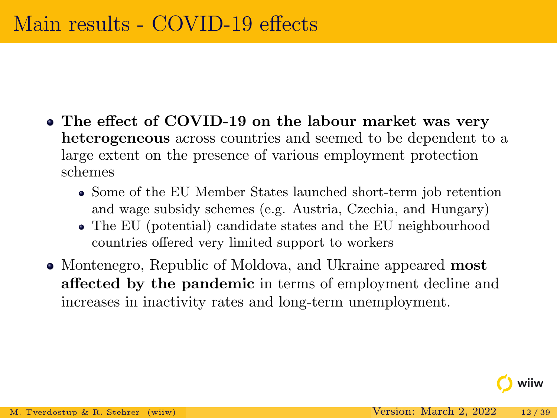- The effect of COVID-19 on the labour market was very heterogeneous across countries and seemed to be dependent to a large extent on the presence of various employment protection schemes
	- Some of the EU Member States launched short-term job retention and wage subsidy schemes (e.g. Austria, Czechia, and Hungary)
	- The EU (potential) candidate states and the EU neighbourhood countries offered very limited support to workers
- Montenegro, Republic of Moldova, and Ukraine appeared **most** affected by the pandemic in terms of employment decline and increases in inactivity rates and long-term unemployment.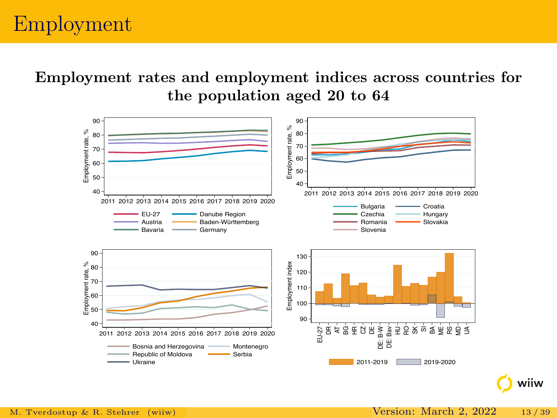## Employment

Employment rates and employment indices across countries for the population aged 20 to 64

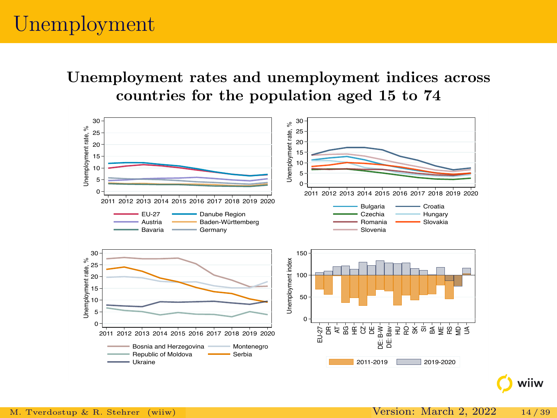# Unemployment

Unemployment rates and unemployment indices across countries for the population aged 15 to 74

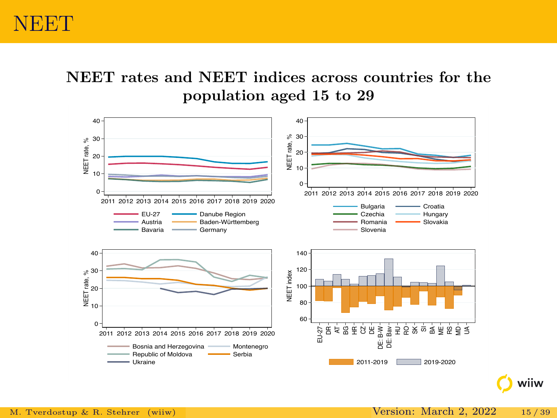### **NEET**

NEET rates and NEET indices across countries for the population aged 15 to 29

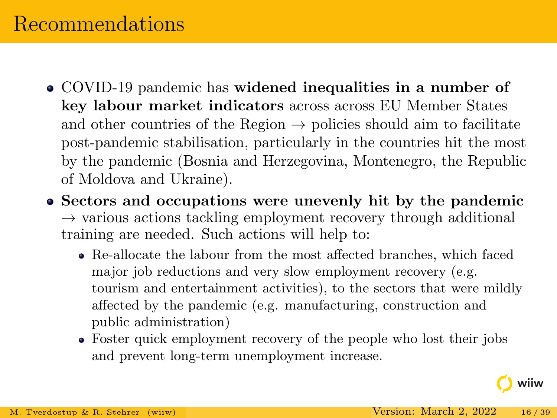## Recommendations

- COVID-19 pandemic has widened inequalities in a number of key labour market indicators across across EU Member States and other countries of the Region  $\rightarrow$  policies should aim to facilitate post-pandemic stabilisation, particularly in the countries hit the most by the pandemic (Bosnia and Herzegovina, Montenegro, the Republic of Moldova and Ukraine).
- Sectors and occupations were unevenly hit by the pandemic  $\rightarrow$  various actions tackling employment recovery through additional training are needed. Such actions will help to:
	- Re-allocate the labour from the most affected branches, which faced major job reductions and very slow employment recovery (e.g. tourism and entertainment activities), to the sectors that were mildly affected by the pandemic (e.g. manufacturing, construction and public administration)
	- Foster quick employment recovery of the people who lost their jobs and prevent long-term unemployment increase.

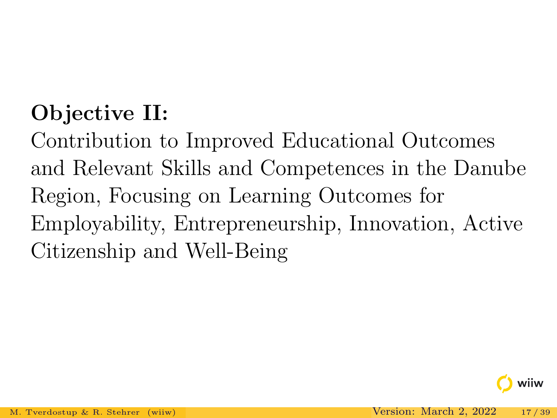# <span id="page-16-0"></span>Objective II:

Contribution to Improved Educational Outcomes and Relevant Skills and Competences in the Danube Region, Focusing on Learning Outcomes for Employability, Entrepreneurship, Innovation, Active Citizenship and Well-Being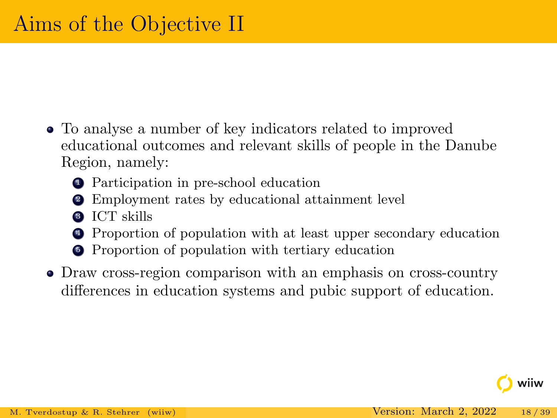- To analyse a number of key indicators related to improved educational outcomes and relevant skills of people in the Danube Region, namely:
	- <sup>1</sup> Participation in pre-school education
	- <sup>2</sup> Employment rates by educational attainment level
	- **3** ICT skills
	- <sup>4</sup> Proportion of population with at least upper secondary education
	- <sup>5</sup> Proportion of population with tertiary education
- Draw cross-region comparison with an emphasis on cross-country differences in education systems and pubic support of education.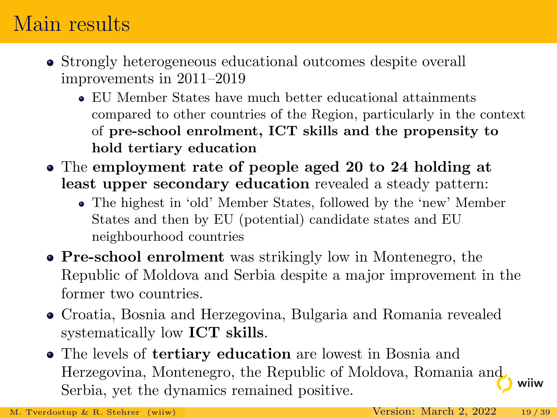## Main results

- Strongly heterogeneous educational outcomes despite overall improvements in 2011–2019
	- EU Member States have much better educational attainments compared to other countries of the Region, particularly in the context of pre-school enrolment, ICT skills and the propensity to hold tertiary education
- The employment rate of people aged 20 to 24 holding at least upper secondary education revealed a steady pattern:
	- The highest in 'old' Member States, followed by the 'new' Member States and then by EU (potential) candidate states and EU neighbourhood countries
- Pre-school enrolment was strikingly low in Montenegro, the Republic of Moldova and Serbia despite a major improvement in the former two countries.
- Croatia, Bosnia and Herzegovina, Bulgaria and Romania revealed systematically low ICT skills.
- The levels of tertiary education are lowest in Bosnia and Herzegovina, Montenegro, the Republic of Moldova, Romania and wiiw Serbia, yet the dynamics remained positive.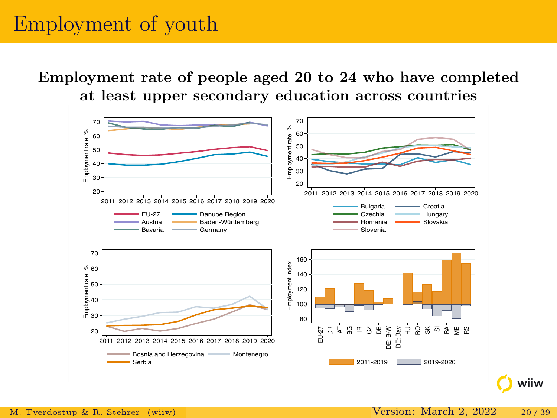## Employment of youth

Employment rate of people aged 20 to 24 who have completed at least upper secondary education across countries

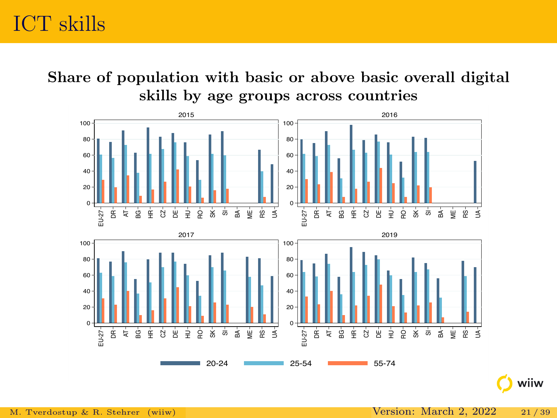Share of population with basic or above basic overall digital skills by age groups across countries

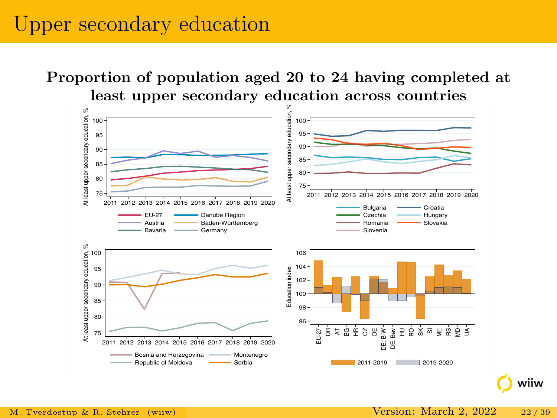### Upper secondary education

#### Proportion of population aged 20 to 24 having completed at least upper secondary education across countries

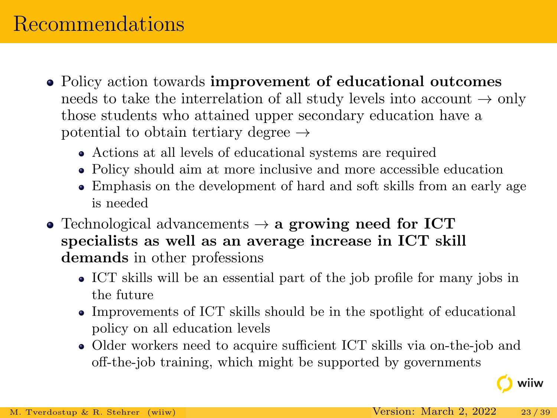## Recommendations

- Policy action towards improvement of educational outcomes needs to take the interrelation of all study levels into account  $\rightarrow$  only those students who attained upper secondary education have a potential to obtain tertiary degree  $\rightarrow$ 
	- Actions at all levels of educational systems are required
	- Policy should aim at more inclusive and more accessible education
	- Emphasis on the development of hard and soft skills from an early age is needed
- Technological advancements  $\rightarrow$  a growing need for ICT specialists as well as an average increase in ICT skill demands in other professions
	- ICT skills will be an essential part of the job profile for many jobs in the future
	- Improvements of ICT skills should be in the spotlight of educational policy on all education levels
	- Older workers need to acquire sufficient ICT skills via on-the-job and off-the-job training, which might be supported by governments

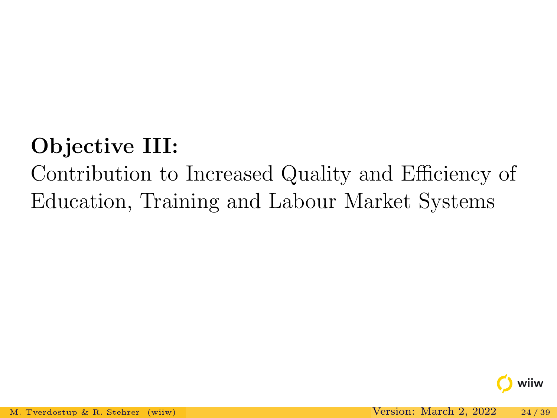# <span id="page-23-0"></span>Objective III:

# Contribution to Increased Quality and Efficiency of Education, Training and Labour Market Systems

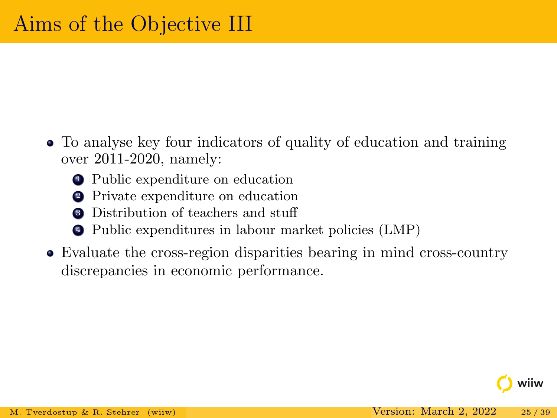- To analyse key four indicators of quality of education and training over 2011-2020, namely:
	- <sup>1</sup> Public expenditure on education
	- <sup>2</sup> Private expenditure on education
	- **3** Distribution of teachers and stuff
	- <sup>4</sup> Public expenditures in labour market policies (LMP)
- Evaluate the cross-region disparities bearing in mind cross-country discrepancies in economic performance.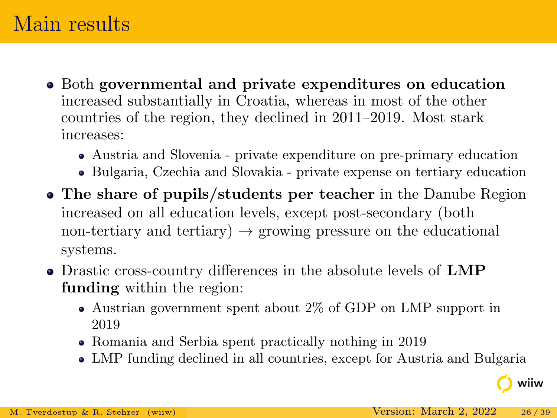## Main results

- Both governmental and private expenditures on education increased substantially in Croatia, whereas in most of the other countries of the region, they declined in 2011–2019. Most stark increases:
	- Austria and Slovenia private expenditure on pre-primary education
	- Bulgaria, Czechia and Slovakia private expense on tertiary education
- The share of pupils/students per teacher in the Danube Region increased on all education levels, except post-secondary (both non-tertiary and tertiary)  $\rightarrow$  growing pressure on the educational systems.
- Drastic cross-country differences in the absolute levels of LMP funding within the region:
	- Austrian government spent about 2% of GDP on LMP support in 2019
	- Romania and Serbia spent practically nothing in 2019
	- LMP funding declined in all countries, except for Austria and Bulgaria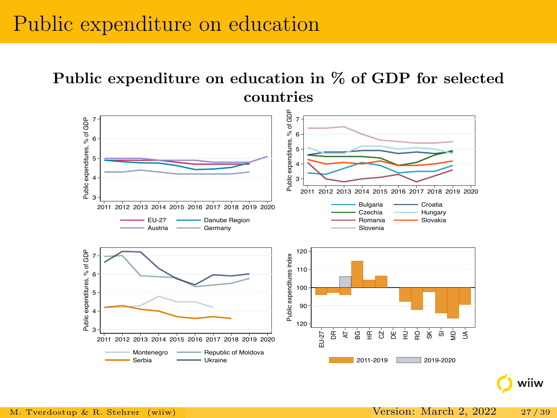### Public expenditure on education

Public expenditure on education in % of GDP for selected countries

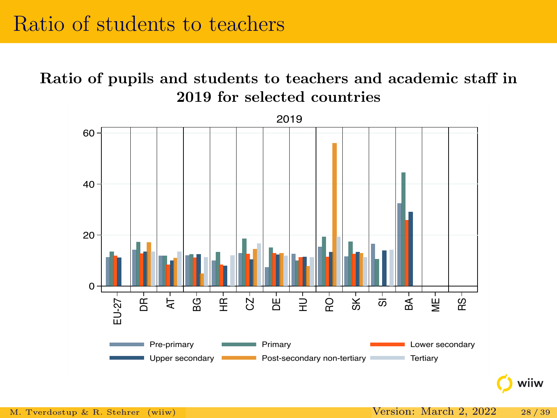Ratio of pupils and students to teachers and academic staff in 2019 for selected countries

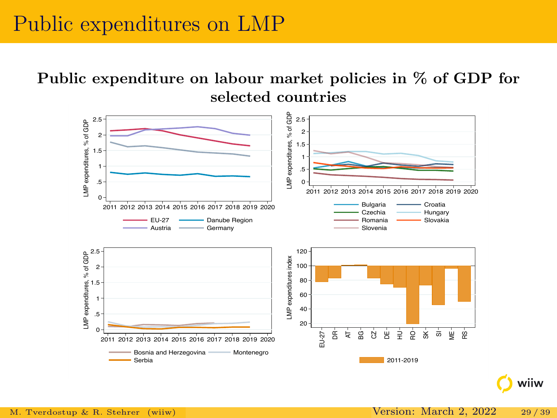### Public expenditures on LMP

#### Public expenditure on labour market policies in % of GDP for selected countries

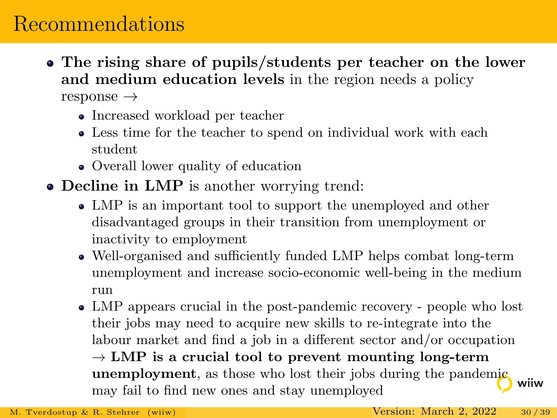### Recommendations

- The rising share of pupils/students per teacher on the lower and medium education levels in the region needs a policy response →
	- Increased workload per teacher
	- Less time for the teacher to spend on individual work with each student
	- Overall lower quality of education
- Decline in LMP is another worrying trend:
	- LMP is an important tool to support the unemployed and other disadvantaged groups in their transition from unemployment or inactivity to employment
	- Well-organised and sufficiently funded LMP helps combat long-term unemployment and increase socio-economic well-being in the medium run
	- LMP appears crucial in the post-pandemic recovery people who lost their jobs may need to acquire new skills to re-integrate into the labour market and find a job in a different sector and/or occupation  $\rightarrow$  LMP is a crucial tool to prevent mounting long-term unemployment, as those who lost their jobs during the pandemic wiiw may fail to find new ones and stay unemployed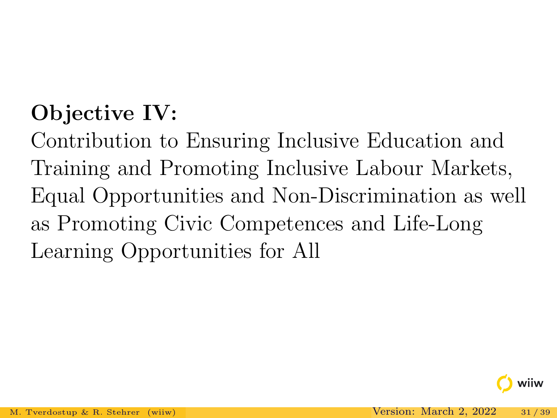# <span id="page-30-0"></span>Objective IV:

Contribution to Ensuring Inclusive Education and Training and Promoting Inclusive Labour Markets, Equal Opportunities and Non-Discrimination as well as Promoting Civic Competences and Life-Long Learning Opportunities for All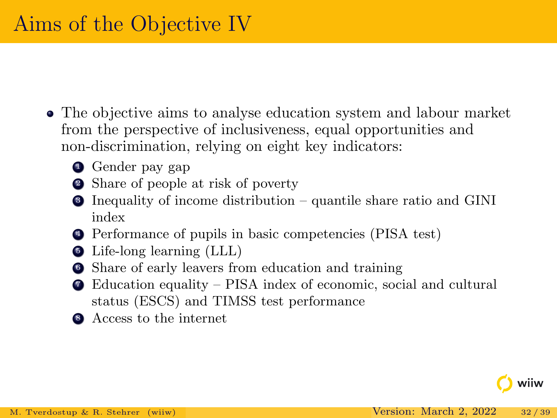- The objective aims to analyse education system and labour market from the perspective of inclusiveness, equal opportunities and non-discrimination, relying on eight key indicators:
	- **4** Gender pay gap
	- <sup>2</sup> Share of people at risk of poverty
	- <sup>3</sup> Inequality of income distribution quantile share ratio and GINI index
	- <sup>4</sup> Performance of pupils in basic competencies (PISA test)
	- <sup>5</sup> Life-long learning (LLL)
	- <sup>6</sup> Share of early leavers from education and training
	- <sup>7</sup> Education equality PISA index of economic, social and cultural status (ESCS) and TIMSS test performance
	- **8** Access to the internet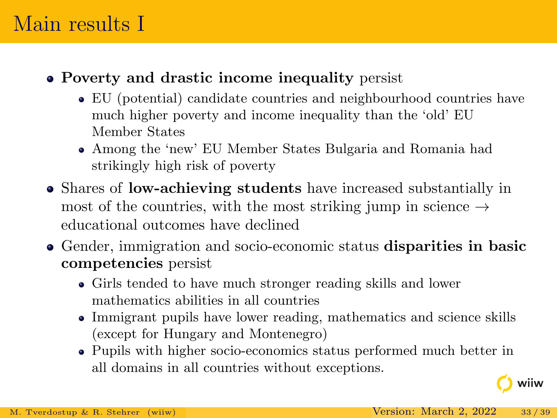## Main results I

### Poverty and drastic income inequality persist

- EU (potential) candidate countries and neighbourhood countries have much higher poverty and income inequality than the 'old' EU Member States
- Among the 'new' EU Member States Bulgaria and Romania had strikingly high risk of poverty
- Shares of low-achieving students have increased substantially in most of the countries, with the most striking jump in science  $\rightarrow$ educational outcomes have declined
- Gender, immigration and socio-economic status disparities in basic competencies persist
	- Girls tended to have much stronger reading skills and lower mathematics abilities in all countries
	- Immigrant pupils have lower reading, mathematics and science skills (except for Hungary and Montenegro)
	- Pupils with higher socio-economics status performed much better in all domains in all countries without exceptions.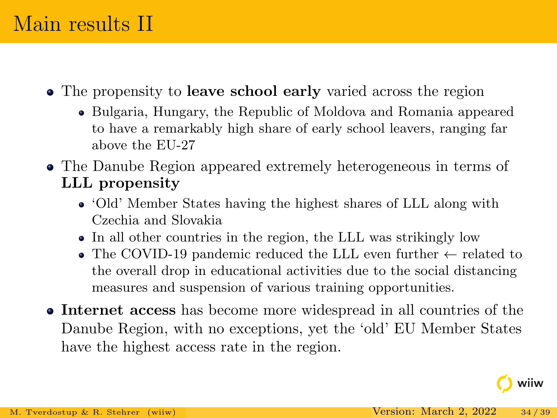## Main results II

- The propensity to **leave school early** varied across the region
	- Bulgaria, Hungary, the Republic of Moldova and Romania appeared to have a remarkably high share of early school leavers, ranging far above the EU-27
- The Danube Region appeared extremely heterogeneous in terms of LLL propensity
	- 'Old' Member States having the highest shares of LLL along with Czechia and Slovakia
	- In all other countries in the region, the LLL was strikingly low
	- The COVID-19 pandemic reduced the LLL even further  $\leftarrow$  related to the overall drop in educational activities due to the social distancing measures and suspension of various training opportunities.
- Internet access has become more widespread in all countries of the Danube Region, with no exceptions, yet the 'old' EU Member States have the highest access rate in the region.

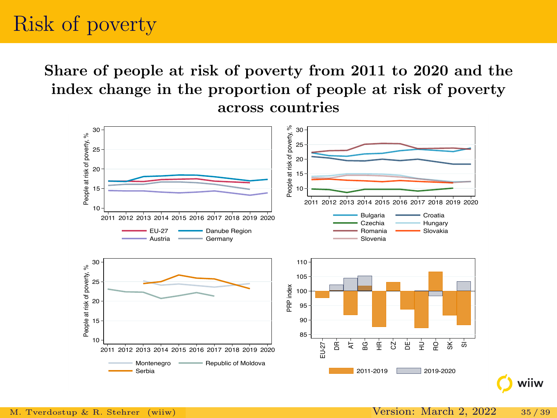# Risk of poverty

Share of people at risk of poverty from 2011 to 2020 and the index change in the proportion of people at risk of poverty across countries

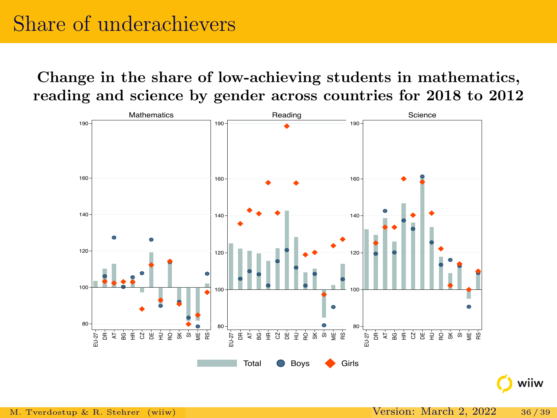# Share of underachievers

Change in the share of low-achieving students in mathematics, reading and science by gender across countries for 2018 to 2012

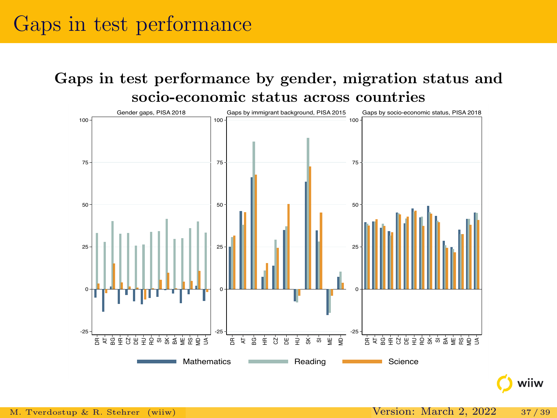## Gaps in test performance

Gaps in test performance by gender, migration status and socio-economic status across countries

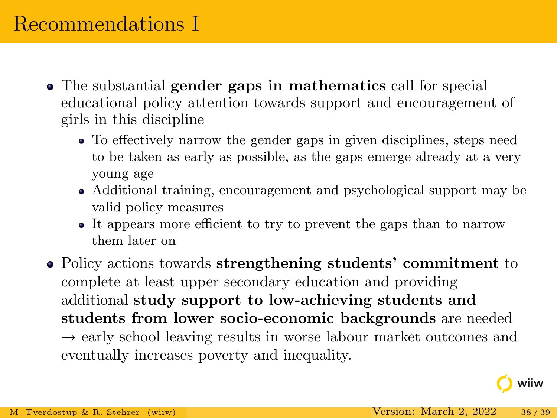## Recommendations I

- The substantial gender gaps in mathematics call for special educational policy attention towards support and encouragement of girls in this discipline
	- To effectively narrow the gender gaps in given disciplines, steps need to be taken as early as possible, as the gaps emerge already at a very young age
	- Additional training, encouragement and psychological support may be valid policy measures
	- It appears more efficient to try to prevent the gaps than to narrow them later on
- Policy actions towards strengthening students' commitment to complete at least upper secondary education and providing additional study support to low-achieving students and students from lower socio-economic backgrounds are needed  $\rightarrow$  early school leaving results in worse labour market outcomes and eventually increases poverty and inequality.